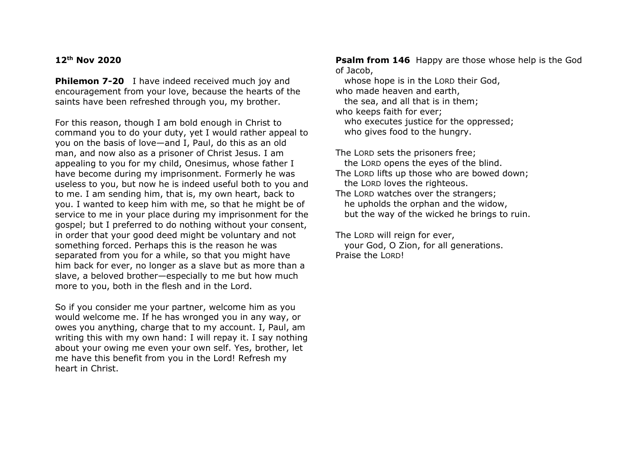## **12th Nov 2020**

**Philemon 7-20** I have indeed received much joy and encouragement from your love, because the hearts of the saints have been refreshed through you, my brother.

For this reason, though I am bold enough in Christ to command you to do your duty, yet I would rather appeal to you on the basis of love—and I, Paul, do this as an old man, and now also as a prisoner of Christ Jesus. I am appealing to you for my child, Onesimus, whose father I have become during my imprisonment. Formerly he was useless to you, but now he is indeed useful both to you and to me. I am sending him, that is, my own heart, back to you. I wanted to keep him with me, so that he might be of service to me in your place during my imprisonment for the gospel; but I preferred to do nothing without your consent, in order that your good deed might be voluntary and not something forced. Perhaps this is the reason he was separated from you for a while, so that you might have him back for ever, no longer as a slave but as more than a slave, a beloved brother—especially to me but how much more to you, both in the flesh and in the Lord.

So if you consider me your partner, welcome him as you would welcome me. If he has wronged you in any way, or owes you anything, charge that to my account. I, Paul, am writing this with my own hand: I will repay it. I say nothing about your owing me even your own self. Yes, brother, let me have this benefit from you in the Lord! Refresh my heart in Christ.

**Psalm from 146** Happy are those whose help is the God of Jacob,

 whose hope is in the LORD their God, who made heaven and earth, the sea, and all that is in them; who keeps faith for ever; who executes justice for the oppressed; who gives food to the hungry.

The LORD sets the prisoners free; the LORD opens the eyes of the blind. The LORD lifts up those who are bowed down; the LORD loves the righteous. The LORD watches over the strangers; he upholds the orphan and the widow,

but the way of the wicked he brings to ruin.

The LORD will reign for ever, your God, O Zion, for all generations. Praise the LORD!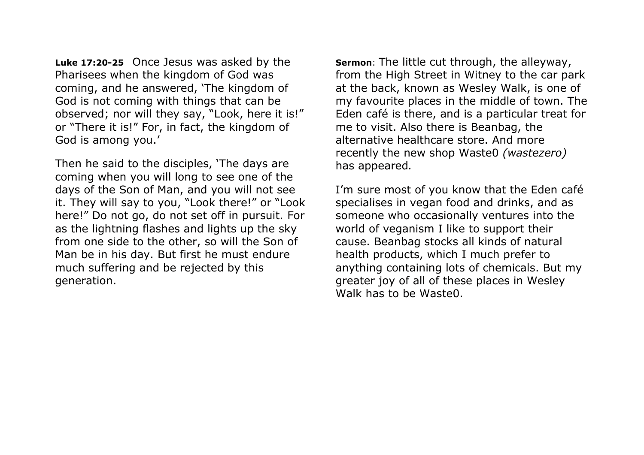**Luke 17:20-25** Once Jesus was asked by the Pharisees when the kingdom of God was coming, and he answered, 'The kingdom of God is not coming with things that can be observed; nor will they say, "Look, here it is!" or "There it is!" For, in fact, the kingdom of God is among you.'

Then he said to the disciples, 'The days are coming when you will long to see one of the days of the Son of Man, and you will not see it. They will say to you, "Look there!" or "Look here!" Do not go, do not set off in pursuit. For as the lightning flashes and lights up the sky from one side to the other, so will the Son of Man be in his day. But first he must endure much suffering and be rejected by this generation.

**Sermon**: The little cut through, the alleyway, from the High Street in Witney to the car park at the back, known as Wesley Walk, is one of my favourite places in the middle of town. The Eden café is there, and is a particular treat for me to visit. Also there is Beanbag, the alternative healthcare store. And more recently the new shop Waste0 *(wastezero)* has appeared*.*

I'm sure most of you know that the Eden café specialises in vegan food and drinks, and as someone who occasionally ventures into the world of veganism I like to support their cause. Beanbag stocks all kinds of natural health products, which I much prefer to anything containing lots of chemicals. But my greater joy of all of these places in Wesley Walk has to be Waste0.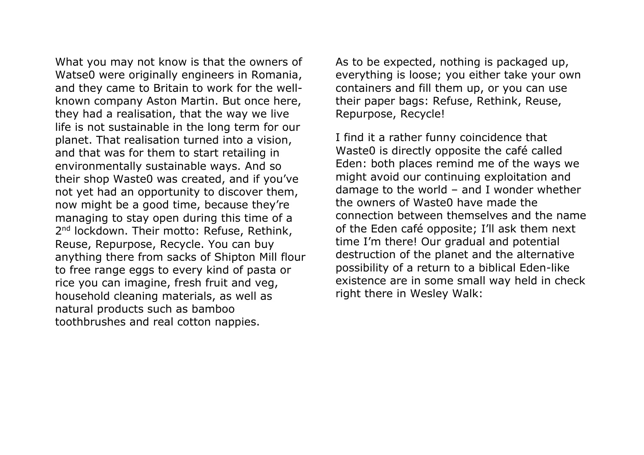What you may not know is that the owners of Watse0 were originally engineers in Romania, and they came to Britain to work for the wellknown company Aston Martin. But once here, they had a realisation, that the way we live life is not sustainable in the long term for our planet. That realisation turned into a vision, and that was for them to start retailing in environmentally sustainable ways. And so their shop Waste0 was created, and if you've not yet had an opportunity to discover them, now might be a good time, because they're managing to stay open during this time of a 2<sup>nd</sup> lockdown. Their motto: Refuse, Rethink, Reuse, Repurpose, Recycle. You can buy anything there from sacks of Shipton Mill flour to free range eggs to every kind of pasta or rice you can imagine, fresh fruit and veg, household cleaning materials, as well as natural products such as bamboo toothbrushes and real cotton nappies.

As to be expected, nothing is packaged up, everything is loose; you either take your own containers and fill them up, or you can use their paper bags: Refuse, Rethink, Reuse, Repurpose, Recycle!

I find it a rather funny coincidence that Waste0 is directly opposite the café called Eden: both places remind me of the ways we might avoid our continuing exploitation and damage to the world – and I wonder whether the owners of Waste0 have made the connection between themselves and the name of the Eden café opposite; I'll ask them next time I'm there! Our gradual and potential destruction of the planet and the alternative possibility of a return to a biblical Eden-like existence are in some small way held in check right there in Wesley Walk: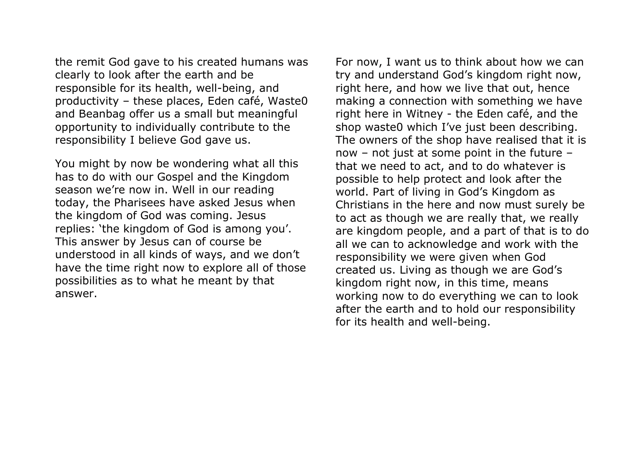the remit God gave to his created humans was clearly to look after the earth and be responsible for its health, well-being, and productivity – these places, Eden café, Waste0 and Beanbag offer us a small but meaningful opportunity to individually contribute to the responsibility I believe God gave us.

You might by now be wondering what all this has to do with our Gospel and the Kingdom season we're now in. Well in our reading today, the Pharisees have asked Jesus when the kingdom of God was coming. Jesus replies: 'the kingdom of God is among you'. This answer by Jesus can of course be understood in all kinds of ways, and we don't have the time right now to explore all of those possibilities as to what he meant by that answer.

For now, I want us to think about how we can try and understand God's kingdom right now, right here, and how we live that out, hence making a connection with something we have right here in Witney - the Eden café, and the shop waste0 which I've just been describing. The owners of the shop have realised that it is now – not just at some point in the future – that we need to act, and to do whatever is possible to help protect and look after the world. Part of living in God's Kingdom as Christians in the here and now must surely be to act as though we are really that, we really are kingdom people, and a part of that is to do all we can to acknowledge and work with the responsibility we were given when God created us. Living as though we are God's kingdom right now, in this time, means working now to do everything we can to look after the earth and to hold our responsibility for its health and well-being.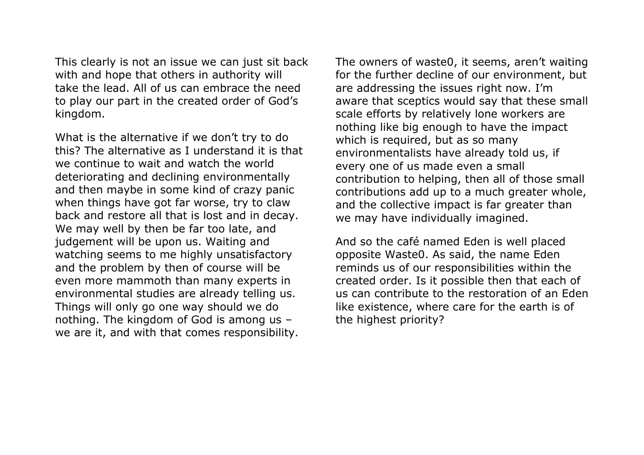This clearly is not an issue we can just sit back with and hope that others in authority will take the lead. All of us can embrace the need to play our part in the created order of God's kingdom.

What is the alternative if we don't try to do this? The alternative as I understand it is that we continue to wait and watch the world deteriorating and declining environmentally and then maybe in some kind of crazy panic when things have got far worse, try to claw back and restore all that is lost and in decay. We may well by then be far too late, and judgement will be upon us. Waiting and watching seems to me highly unsatisfactory and the problem by then of course will be even more mammoth than many experts in environmental studies are already telling us. Things will only go one way should we do nothing. The kingdom of God is among us – we are it, and with that comes responsibility.

The owners of waste0, it seems, aren't waiting for the further decline of our environment, but are addressing the issues right now. I'm aware that sceptics would say that these small scale efforts by relatively lone workers are nothing like big enough to have the impact which is required, but as so many environmentalists have already told us, if every one of us made even a small contribution to helping, then all of those small contributions add up to a much greater whole, and the collective impact is far greater than we may have individually imagined.

And so the café named Eden is well placed opposite Waste0. As said, the name Eden reminds us of our responsibilities within the created order. Is it possible then that each of us can contribute to the restoration of an Eden like existence, where care for the earth is of the highest priority?